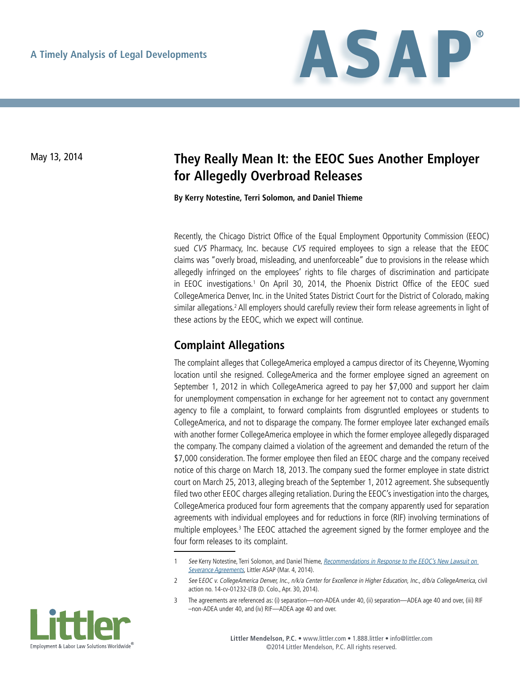

## May 13, 2014 **They Really Mean It: the EEOC Sues Another Employer for Allegedly Overbroad Releases**

**By Kerry Notestine, Terri Solomon, and Daniel Thieme**

Recently, the Chicago District Office of the Equal Employment Opportunity Commission (EEOC) sued CVS Pharmacy, Inc. because CVS required employees to sign a release that the EEOC claims was "overly broad, misleading, and unenforceable" due to provisions in the release which allegedly infringed on the employees' rights to file charges of discrimination and participate in EEOC investigations.<sup>1</sup> On April 30, 2014, the Phoenix District Office of the EEOC sued CollegeAmerica Denver, Inc. in the United States District Court for the District of Colorado, making similar allegations.<sup>2</sup> All employers should carefully review their form release agreements in light of these actions by the EEOC, which we expect will continue.

## **Complaint Allegations**

The complaint alleges that CollegeAmerica employed a campus director of its Cheyenne, Wyoming location until she resigned. CollegeAmerica and the former employee signed an agreement on September 1, 2012 in which CollegeAmerica agreed to pay her \$7,000 and support her claim for unemployment compensation in exchange for her agreement not to contact any government agency to file a complaint, to forward complaints from disgruntled employees or students to CollegeAmerica, and not to disparage the company. The former employee later exchanged emails with another former CollegeAmerica employee in which the former employee allegedly disparaged the company. The company claimed a violation of the agreement and demanded the return of the \$7,000 consideration. The former employee then filed an EEOC charge and the company received notice of this charge on March 18, 2013. The company sued the former employee in state district court on March 25, 2013, alleging breach of the September 1, 2012 agreement. She subsequently filed two other EEOC charges alleging retaliation. During the EEOC's investigation into the charges, CollegeAmerica produced four form agreements that the company apparently used for separation agreements with individual employees and for reductions in force (RIF) involving terminations of multiple employees.<sup>3</sup> The EEOC attached the agreement signed by the former employee and the four form releases to its complaint.

<sup>3</sup> The agreements are referenced as: (i) separation—non-ADEA under 40, (ii) separation—ADEA age 40 and over, (iii) RIF –non-ADEA under 40, and (iv) RIF—ADEA age 40 and over.



<sup>1</sup> See Kerry Notestine, Terri Solomon, and Daniel Thieme, Recommendations in Response to the EEOC's New Lawsuit on [Severance Agreements](http://www.littler.com/publication-press/publication/recommendations-response-eeocs-new-lawsuit-severance-agreements%23sthash.r5QnMIya.dpuf), Littler ASAP (Mar. 4, 2014).

<sup>2</sup> See EEOC v. CollegeAmerica Denver, Inc., n/k/a Center for Excellence in Higher Education, Inc., d/b/a CollegeAmerica, civil action no. 14-cv-01232-LTB (D. Colo., Apr. 30, 2014).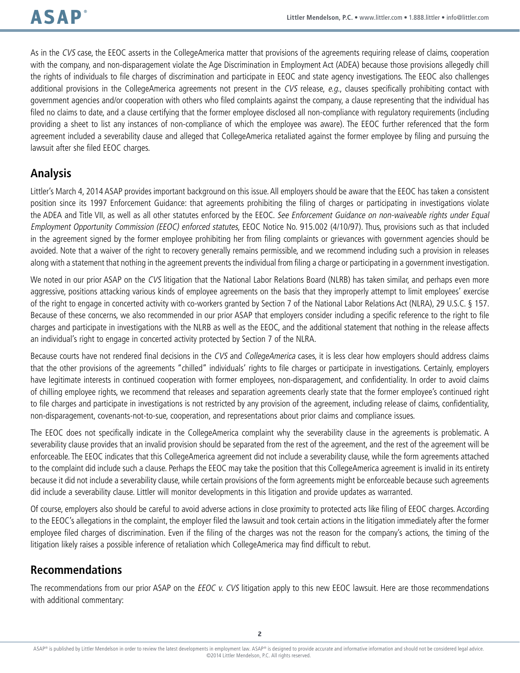As in the CVS case, the EEOC asserts in the CollegeAmerica matter that provisions of the agreements requiring release of claims, cooperation with the company, and non-disparagement violate the Age Discrimination in Employment Act (ADEA) because those provisions allegedly chill the rights of individuals to file charges of discrimination and participate in EEOC and state agency investigations. The EEOC also challenges additional provisions in the CollegeAmerica agreements not present in the CVS release, e.g., clauses specifically prohibiting contact with government agencies and/or cooperation with others who filed complaints against the company, a clause representing that the individual has filed no claims to date, and a clause certifying that the former employee disclosed all non-compliance with regulatory requirements (including providing a sheet to list any instances of non-compliance of which the employee was aware). The EEOC further referenced that the form agreement included a severability clause and alleged that CollegeAmerica retaliated against the former employee by filing and pursuing the lawsuit after she filed EEOC charges.

## **Analysis**

Littler's March 4, 2014 ASAP provides important background on this issue. All employers should be aware that the EEOC has taken a consistent position since its 1997 Enforcement Guidance: that agreements prohibiting the filing of charges or participating in investigations violate the ADEA and Title VII, as well as all other statutes enforced by the EEOC. See Enforcement Guidance on non-waiveable rights under Equal Employment Opportunity Commission (EEOC) enforced statutes, EEOC Notice No. 915.002 (4/10/97). Thus, provisions such as that included in the agreement signed by the former employee prohibiting her from filing complaints or grievances with government agencies should be avoided. Note that a waiver of the right to recovery generally remains permissible, and we recommend including such a provision in releases along with a statement that nothing in the agreement prevents the individual from filing a charge or participating in a government investigation.

We noted in our prior ASAP on the CVS litigation that the National Labor Relations Board (NLRB) has taken similar, and perhaps even more aggressive, positions attacking various kinds of employee agreements on the basis that they improperly attempt to limit employees' exercise of the right to engage in concerted activity with co-workers granted by Section 7 of the National Labor Relations Act (NLRA), 29 U.S.C. § 157. Because of these concerns, we also recommended in our prior ASAP that employers consider including a specific reference to the right to file charges and participate in investigations with the NLRB as well as the EEOC, and the additional statement that nothing in the release affects an individual's right to engage in concerted activity protected by Section 7 of the NLRA.

Because courts have not rendered final decisions in the CVS and CollegeAmerica cases, it is less clear how employers should address claims that the other provisions of the agreements "chilled" individuals' rights to file charges or participate in investigations. Certainly, employers have legitimate interests in continued cooperation with former employees, non-disparagement, and confidentiality. In order to avoid claims of chilling employee rights, we recommend that releases and separation agreements clearly state that the former employee's continued right to file charges and participate in investigations is not restricted by any provision of the agreement, including release of claims, confidentiality, non-disparagement, covenants-not-to-sue, cooperation, and representations about prior claims and compliance issues.

The EEOC does not specifically indicate in the CollegeAmerica complaint why the severability clause in the agreements is problematic. A severability clause provides that an invalid provision should be separated from the rest of the agreement, and the rest of the agreement will be enforceable. The EEOC indicates that this CollegeAmerica agreement did not include a severability clause, while the form agreements attached to the complaint did include such a clause. Perhaps the EEOC may take the position that this CollegeAmerica agreement is invalid in its entirety because it did not include a severability clause, while certain provisions of the form agreements might be enforceable because such agreements did include a severability clause. Littler will monitor developments in this litigation and provide updates as warranted.

Of course, employers also should be careful to avoid adverse actions in close proximity to protected acts like filing of EEOC charges. According to the EEOC's allegations in the complaint, the employer filed the lawsuit and took certain actions in the litigation immediately after the former employee filed charges of discrimination. Even if the filing of the charges was not the reason for the company's actions, the timing of the litigation likely raises a possible inference of retaliation which CollegeAmerica may find difficult to rebut.

## **Recommendations**

The recommendations from our prior ASAP on the EEOC v. CVS litigation apply to this new EEOC lawsuit. Here are those recommendations with additional commentary: